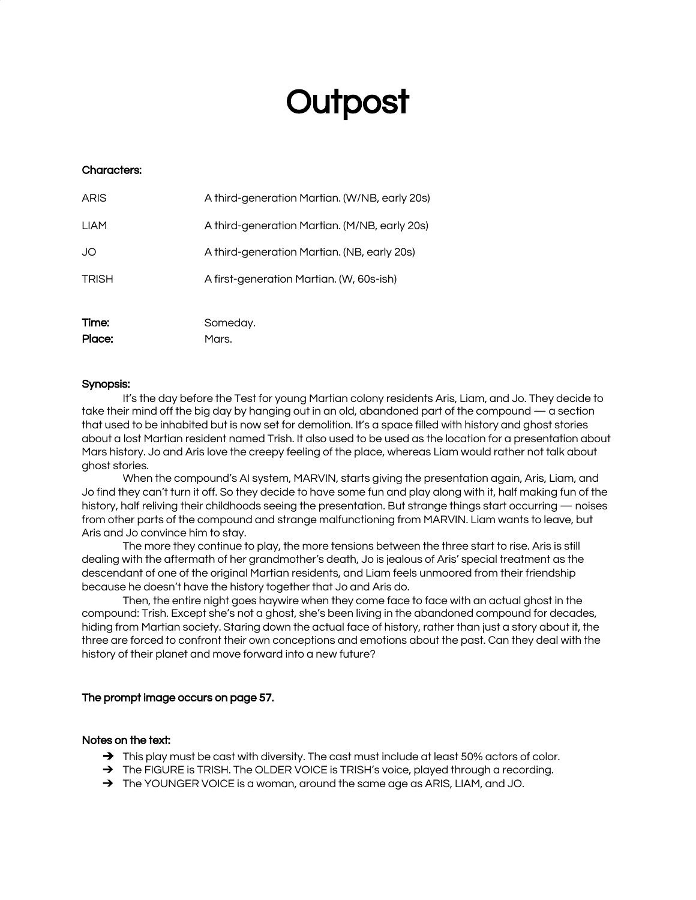# **Outpost**

# Characters:

| Time:        | Someday.                                      |
|--------------|-----------------------------------------------|
| <b>TRISH</b> | A first-generation Martian. (W, 60s-ish)      |
| JO           | A third-generation Martian. (NB, early 20s)   |
| <b>LIAM</b>  | A third-generation Martian. (M/NB, early 20s) |
| <b>ARIS</b>  | A third-generation Martian. (W/NB, early 20s) |

Place: Mars.

# Synopsis:

It's the day before the Test for young Martian colony residents Aris, Liam, and Jo. They decide to take their mind off the big day by hanging out in an old, abandoned part of the compound — a section that used to be inhabited but is now set for demolition. It's a space filled with history and ghost stories about a lost Martian resident named Trish. It also used to be used as the location for a presentation about Mars history. Jo and Aris love the creepy feeling of the place, whereas Liam would rather not talk about ghost stories.

When the compound's AI system, MARVIN, starts giving the presentation again, Aris, Liam, and Jo find they can't turn it off. So they decide to have some fun and play along with it, half making fun of the history, half reliving their childhoods seeing the presentation. But strange things start occurring — noises from other parts of the compound and strange malfunctioning from MARVIN. Liam wants to leave, but Aris and Jo convince him to stay.

The more they continue to play, the more tensions between the three start to rise. Aris is still dealing with the aftermath of her grandmother's death, Jo is jealous of Aris' special treatment as the descendant of one of the original Martian residents, and Liam feels unmoored from their friendship because he doesn't have the history together that Jo and Aris do.

Then, the entire night goes haywire when they come face to face with an actual ghost in the compound: Trish. Except she's not a ghost, she's been living in the abandoned compound for decades, hiding from Martian society. Staring down the actual face of history, rather than just a story about it, the three are forced to confront their own conceptions and emotions about the past. Can they deal with the history of their planet and move forward into a new future?

# The prompt image occurs on page 57.

# Notes on the text:

- → This play must be cast with diversity. The cast must include at least 50% actors of color.
- → The FIGURE is TRISH. The OLDER VOICE is TRISH's voice, played through a recording.
- → The YOUNGER VOICE is a woman, around the same age as ARIS, LIAM, and JO.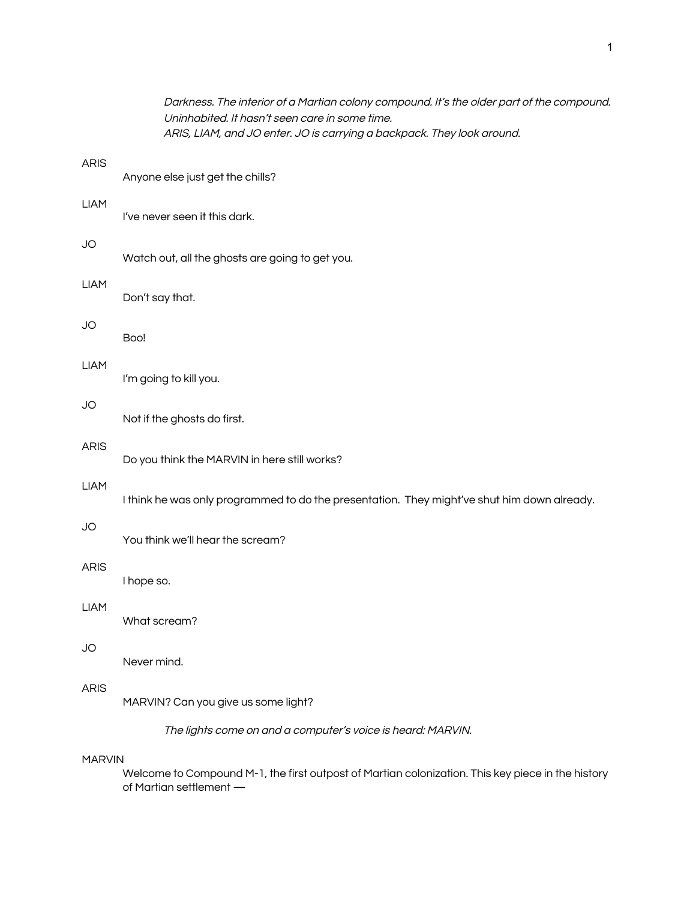|               | Darkness. The interior of a Martian colony compound. It's the older part of the compound.<br>Uninhabited. It hasn't seen care in some time.<br>ARIS, LIAM, and JO enter. JO is carrying a backpack. They look around. |
|---------------|-----------------------------------------------------------------------------------------------------------------------------------------------------------------------------------------------------------------------|
| <b>ARIS</b>   | Anyone else just get the chills?                                                                                                                                                                                      |
| <b>LIAM</b>   | I've never seen it this dark.                                                                                                                                                                                         |
| JO            | Watch out, all the ghosts are going to get you.                                                                                                                                                                       |
| <b>LIAM</b>   | Don't say that.                                                                                                                                                                                                       |
| JO            | Boo!                                                                                                                                                                                                                  |
| <b>LIAM</b>   | I'm going to kill you.                                                                                                                                                                                                |
| JO            | Not if the ghosts do first.                                                                                                                                                                                           |
| <b>ARIS</b>   | Do you think the MARVIN in here still works?                                                                                                                                                                          |
| <b>LIAM</b>   | I think he was only programmed to do the presentation. They might've shut him down already.                                                                                                                           |
| <b>JO</b>     | You think we'll hear the scream?                                                                                                                                                                                      |
| <b>ARIS</b>   | I hope so.                                                                                                                                                                                                            |
| <b>LIAM</b>   | What scream?                                                                                                                                                                                                          |
| JO            | Never mind.                                                                                                                                                                                                           |
| <b>ARIS</b>   | MARVIN? Can you give us some light?                                                                                                                                                                                   |
|               | The lights come on and a computer's voice is heard: MARVIN.                                                                                                                                                           |
| <b>MARVIN</b> |                                                                                                                                                                                                                       |
|               | Welcome to Compound M-1, the first outpost of Martian colonization. This key piece in the history<br>of Martian settlement -                                                                                          |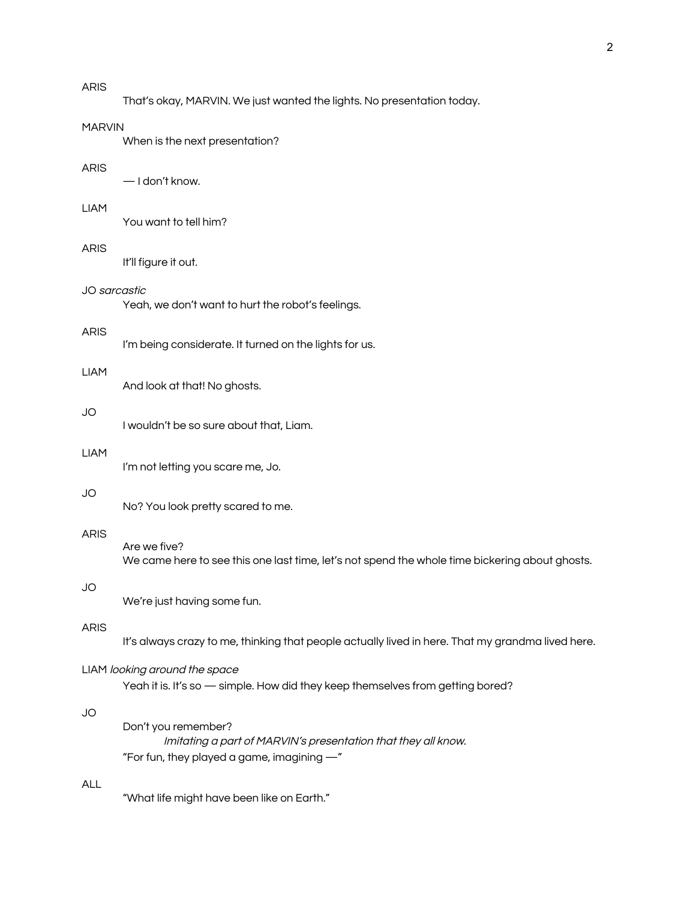That's okay, MARVIN. We just wanted the lights. No presentation today.

## MARVIN

When is the next presentation?

#### ARIS

— I don't know.

# LIAM

You want to tell him?

#### ARIS

It'll figure it out.

#### JO sarcastic

Yeah, we don't want to hurt the robot's feelings.

# ARIS

I'm being considerate. It turned on the lights for us.

#### LIAM

And look at that! No ghosts.

# JO

I wouldn't be so sure about that, Liam.

#### LIAM

I'm not letting you scare me, Jo.

# JO

No? You look pretty scared to me.

# ARIS

Are we five? We came here to see this one last time, let's not spend the whole time bickering about ghosts.

# JO

We're just having some fun.

# ARIS

It's always crazy to me, thinking that people actually lived in here. That my grandma lived here.

# LIAM looking around the space

Yeah it is. It's so - simple. How did they keep themselves from getting bored?

# JO

Don't you remember? Imitating <sup>a</sup> part of MARVIN's presentation that they all know. "For fun, they played a game, imagining —"

# ALL

"What life might have been like on Earth."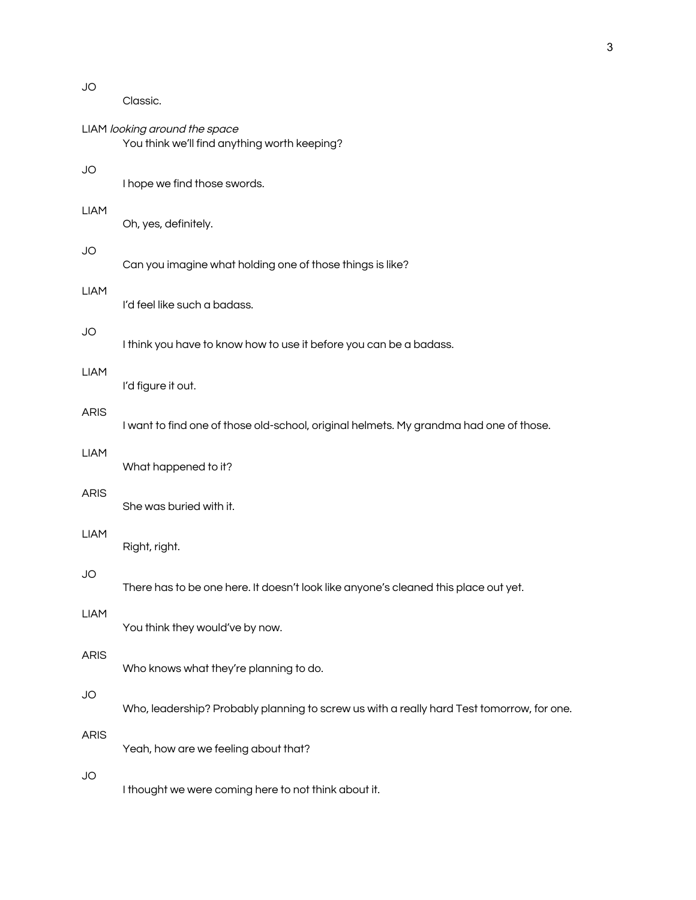| JO          | Classic.                                                                                  |
|-------------|-------------------------------------------------------------------------------------------|
|             | LIAM looking around the space<br>You think we'll find anything worth keeping?             |
| JO          | I hope we find those swords.                                                              |
| <b>LIAM</b> | Oh, yes, definitely.                                                                      |
| JO          | Can you imagine what holding one of those things is like?                                 |
| <b>LIAM</b> | I'd feel like such a badass.                                                              |
| JO          | I think you have to know how to use it before you can be a badass.                        |
| <b>LIAM</b> | I'd figure it out.                                                                        |
| <b>ARIS</b> | I want to find one of those old-school, original helmets. My grandma had one of those.    |
| <b>LIAM</b> | What happened to it?                                                                      |
| <b>ARIS</b> | She was buried with it.                                                                   |
| <b>LIAM</b> | Right, right.                                                                             |
| JO          | There has to be one here. It doesn't look like anyone's cleaned this place out yet.       |
| <b>LIAM</b> | You think they would've by now.                                                           |
| <b>ARIS</b> | Who knows what they're planning to do.                                                    |
| <b>JO</b>   | Who, leadership? Probably planning to screw us with a really hard Test tomorrow, for one. |
| <b>ARIS</b> | Yeah, how are we feeling about that?                                                      |
| JO          | I thought we were coming here to not think about it.                                      |

3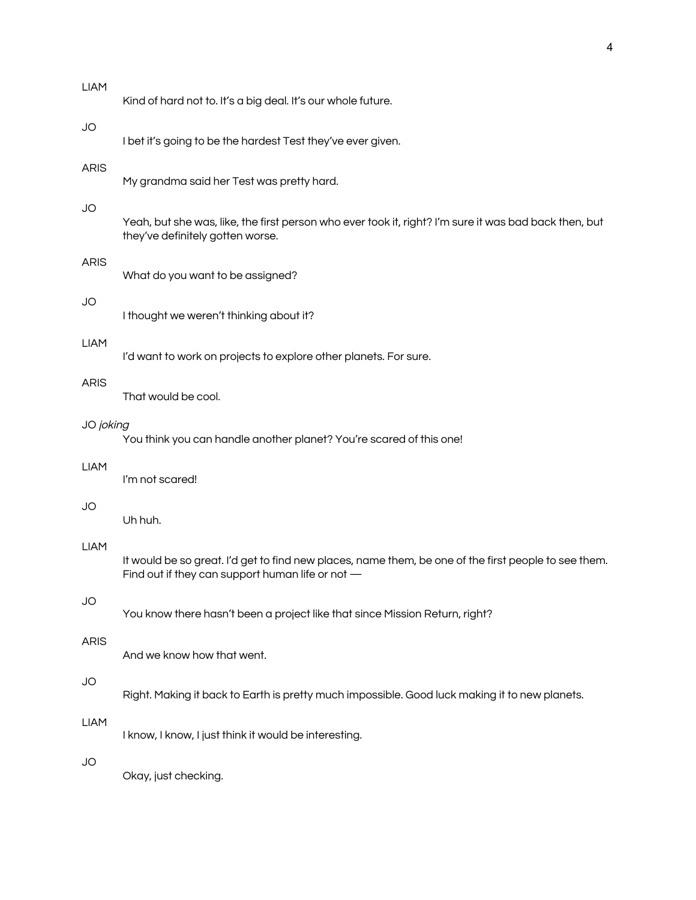| <b>LIAM</b> | Kind of hard not to. It's a big deal. It's our whole future.                                                                                             |
|-------------|----------------------------------------------------------------------------------------------------------------------------------------------------------|
| <b>JO</b>   | I bet it's going to be the hardest Test they've ever given.                                                                                              |
| <b>ARIS</b> | My grandma said her Test was pretty hard.                                                                                                                |
| <b>JO</b>   | Yeah, but she was, like, the first person who ever took it, right? I'm sure it was bad back then, but<br>they've definitely gotten worse.                |
| <b>ARIS</b> | What do you want to be assigned?                                                                                                                         |
| JO          | I thought we weren't thinking about it?                                                                                                                  |
| <b>LIAM</b> | I'd want to work on projects to explore other planets. For sure.                                                                                         |
| <b>ARIS</b> | That would be cool.                                                                                                                                      |
| JO joking   | You think you can handle another planet? You're scared of this one!                                                                                      |
| <b>LIAM</b> | I'm not scared!                                                                                                                                          |
| JO          | Uh huh.                                                                                                                                                  |
| <b>LIAM</b> | It would be so great. I'd get to find new places, name them, be one of the first people to see them.<br>Find out if they can support human life or not - |
| <b>JO</b>   | You know there hasn't been a project like that since Mission Return, right?                                                                              |
| <b>ARIS</b> | And we know how that went.                                                                                                                               |
| <b>JO</b>   | Right. Making it back to Earth is pretty much impossible. Good luck making it to new planets.                                                            |
| <b>LIAM</b> | I know, I know, I just think it would be interesting.                                                                                                    |
| <b>JO</b>   | Okay, just checking.                                                                                                                                     |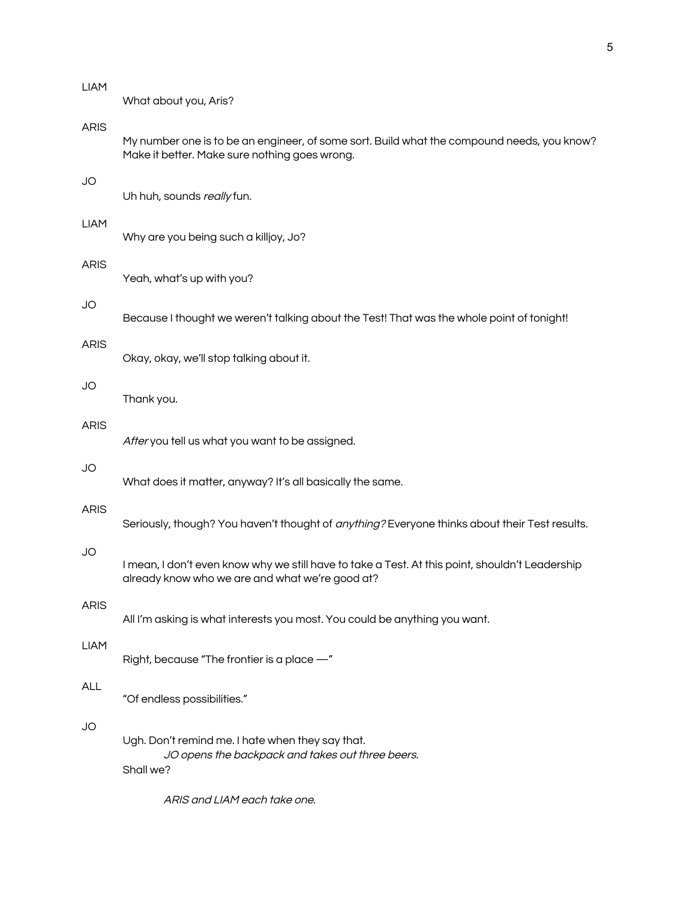What about you, Aris?

# ARIS

My number one is to be an engineer, of some sort. Build what the compound needs, you know? Make it better. Make sure nothing goes wrong.

# JO

Uh huh, sounds really fun.

#### LIAM

Why are you being such a killjoy, Jo?

#### ARIS

Yeah, what's up with you?

### JO

Because I thought we weren't talking about the Test! That was the whole point of tonight!

#### ARIS

Okay, okay, we'll stop talking about it.

# JO

Thank you.

# ARIS

After you tell us what you want to be assigned.

#### JO

What does it matter, anyway? It's all basically the same.

#### ARIS

Seriously, though? You haven't thought of *anything?* Everyone thinks about their Test results.

#### JO

I mean, I don't even know why we still have to take a Test. At this point, shouldn't Leadership already know who we are and what we're good at?

## ARIS

All I'm asking is what interests you most. You could be anything you want.

#### LIAM

Right, because "The frontier is a place —"

## ALL

"Of endless possibilities."

# JO

Ugh. Don't remind me. I hate when they say that. JO opens the backpack and takes out three beers. Shall we?

ARIS and LIAM each take one.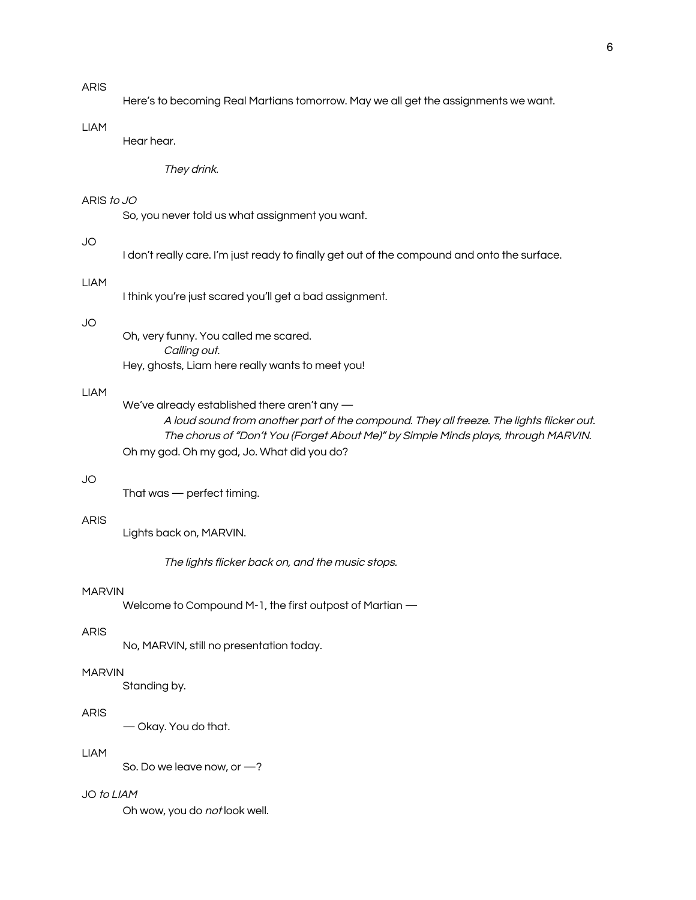## ARIS

Here's to becoming Real Martians tomorrow. May we all get the assignments we want.

# LIAM

Hear hear.

They drink.

## ARIS to JO

So, you never told us what assignment you want.

# JO

I don't really care. I'm just ready to finally get out of the compound and onto the surface.

#### LIAM

I think you're just scared you'll get a bad assignment.

#### JO

Oh, very funny. You called me scared. Calling out. Hey, ghosts, Liam here really wants to meet you!

#### LIAM

We've already established there aren't any — A loud sound from another part of the compound. They all freeze. The lights flicker out. The chorus of "Don't You (Forget About Me)" by Simple Minds plays, through MARVIN. Oh my god. Oh my god, Jo. What did you do?

# JO

That was — perfect timing.

# ARIS

Lights back on, MARVIN.

The lights flicker back on, and the music stops.

## MARVIN

Welcome to Compound M-1, the first outpost of Martian —

# ARIS

No, MARVIN, still no presentation today.

## MARVIN

Standing by.

# ARIS

— Okay. You do that.

# LIAM

So. Do we leave now, or —?

# JO to LIAM

Oh wow, you do not look well.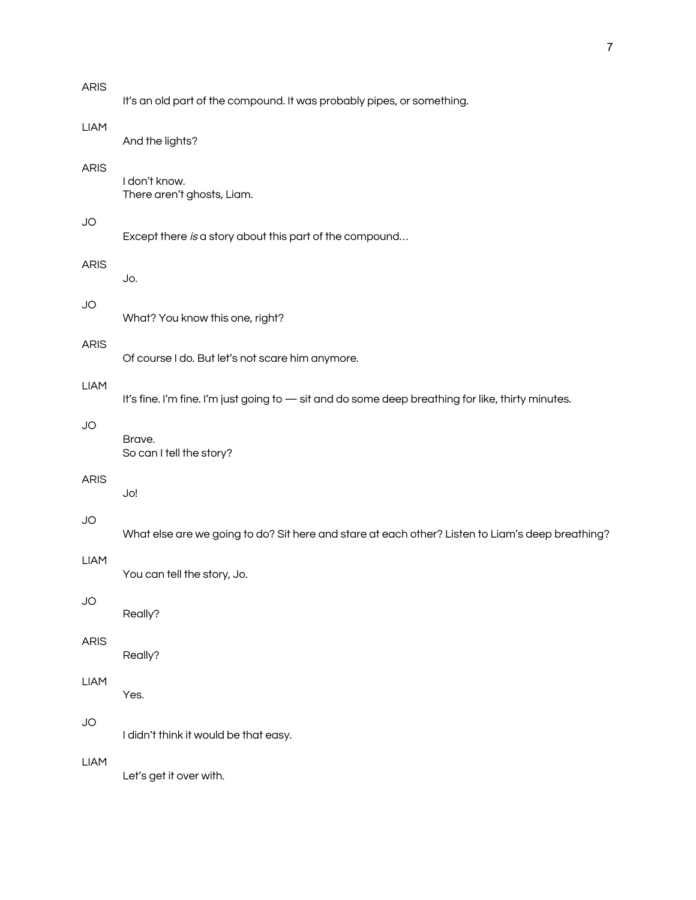| <b>ARIS</b> | It's an old part of the compound. It was probably pipes, or something.                            |
|-------------|---------------------------------------------------------------------------------------------------|
| <b>LIAM</b> | And the lights?                                                                                   |
| ARIS        | I don't know.<br>There aren't ghosts, Liam.                                                       |
| JO          | Except there is a story about this part of the compound                                           |
| ARIS        | Jo.                                                                                               |
| JO          | What? You know this one, right?                                                                   |
| ARIS        | Of course I do. But let's not scare him anymore.                                                  |
| <b>LIAM</b> | It's fine. I'm fine. I'm just going to - sit and do some deep breathing for like, thirty minutes. |
| JO          | Brave.<br>So can I tell the story?                                                                |
| ARIS        | Jo!                                                                                               |
| JO          | What else are we going to do? Sit here and stare at each other? Listen to Liam's deep breathing?  |
| <b>LIAM</b> | You can tell the story, Jo.                                                                       |
| JO          | Really?                                                                                           |
| ARIS        | Really?                                                                                           |
| <b>LIAM</b> | Yes.                                                                                              |
| JO          | I didn't think it would be that easy.                                                             |
| <b>LIAM</b> | Let's get it over with.                                                                           |
|             |                                                                                                   |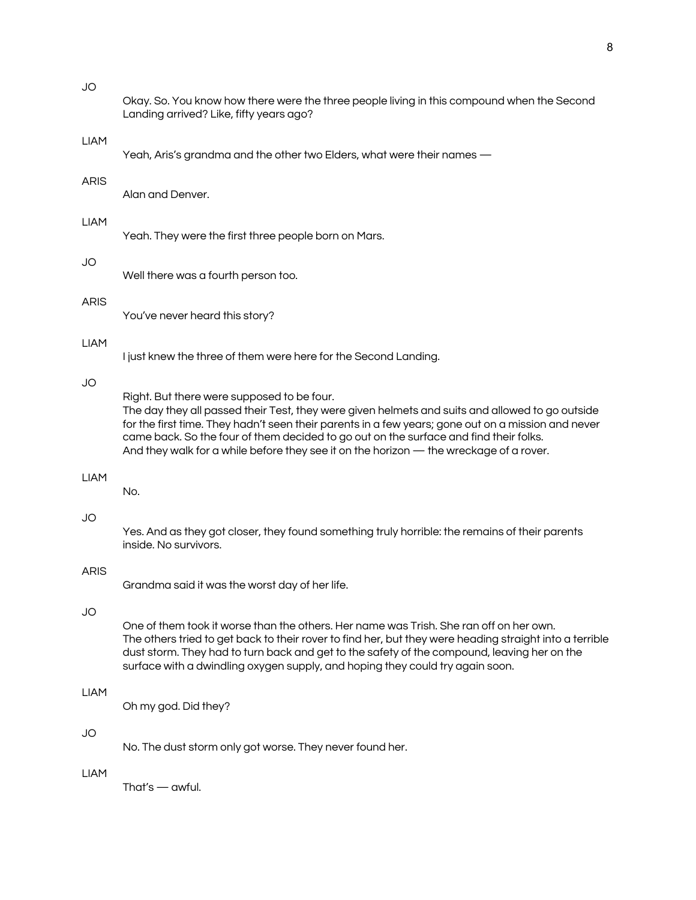LIAM

ARIS

LIAM

JO

ARIS

LIAM

JO

LIAM

JO

ARIS

JO

LIAM

JO

LIAM

| Okay. So. You know how there were the three people living in this compound when the Second<br>Landing arrived? Like, fifty years ago?                                                                                                                                                                                                                                                                                                  |
|----------------------------------------------------------------------------------------------------------------------------------------------------------------------------------------------------------------------------------------------------------------------------------------------------------------------------------------------------------------------------------------------------------------------------------------|
| Yeah, Aris's grandma and the other two Elders, what were their names -                                                                                                                                                                                                                                                                                                                                                                 |
| Alan and Denver.                                                                                                                                                                                                                                                                                                                                                                                                                       |
| Yeah. They were the first three people born on Mars.                                                                                                                                                                                                                                                                                                                                                                                   |
| Well there was a fourth person too.                                                                                                                                                                                                                                                                                                                                                                                                    |
| You've never heard this story?                                                                                                                                                                                                                                                                                                                                                                                                         |
| I just knew the three of them were here for the Second Landing.                                                                                                                                                                                                                                                                                                                                                                        |
| Right. But there were supposed to be four.<br>The day they all passed their Test, they were given helmets and suits and allowed to go outside<br>for the first time. They hadn't seen their parents in a few years; gone out on a mission and never<br>came back. So the four of them decided to go out on the surface and find their folks.<br>And they walk for a while before they see it on the horizon — the wreckage of a rover. |
| No.                                                                                                                                                                                                                                                                                                                                                                                                                                    |
| Yes. And as they got closer, they found something truly horrible: the remains of their parents<br>inside. No survivors.                                                                                                                                                                                                                                                                                                                |
| Grandma said it was the worst day of her life.                                                                                                                                                                                                                                                                                                                                                                                         |
| One of them took it worse than the others. Her name was Trish. She ran off on her own.<br>The others tried to get back to their rover to find her, but they were heading straight into a terrible<br>dust storm. They had to turn back and get to the safety of the compound, leaving her on the<br>surface with a dwindling oxygen supply, and hoping they could try again soon.                                                      |
| Oh my god. Did they?                                                                                                                                                                                                                                                                                                                                                                                                                   |
| No. The dust storm only got worse. They never found her.                                                                                                                                                                                                                                                                                                                                                                               |
|                                                                                                                                                                                                                                                                                                                                                                                                                                        |

That's — awful.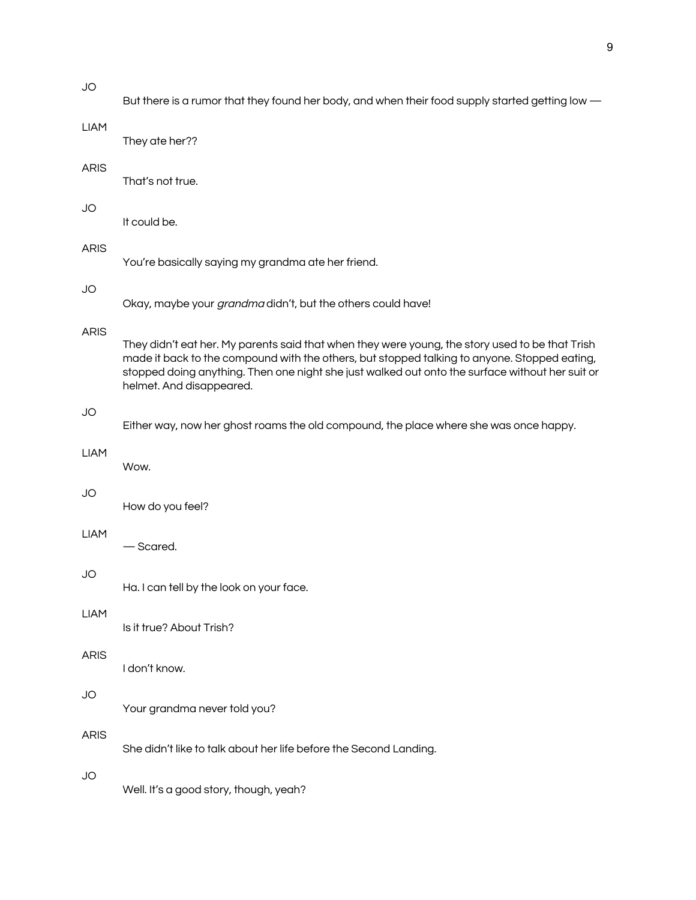| <b>JO</b>   | But there is a rumor that they found her body, and when their food supply started getting low —                                                                                                                                                                                                                                |
|-------------|--------------------------------------------------------------------------------------------------------------------------------------------------------------------------------------------------------------------------------------------------------------------------------------------------------------------------------|
| <b>LIAM</b> | They ate her??                                                                                                                                                                                                                                                                                                                 |
| <b>ARIS</b> | That's not true.                                                                                                                                                                                                                                                                                                               |
| <b>JO</b>   | It could be.                                                                                                                                                                                                                                                                                                                   |
| <b>ARIS</b> | You're basically saying my grandma ate her friend.                                                                                                                                                                                                                                                                             |
| <b>JO</b>   | Okay, maybe your grandma didn't, but the others could have!                                                                                                                                                                                                                                                                    |
| <b>ARIS</b> | They didn't eat her. My parents said that when they were young, the story used to be that Trish<br>made it back to the compound with the others, but stopped talking to anyone. Stopped eating,<br>stopped doing anything. Then one night she just walked out onto the surface without her suit or<br>helmet. And disappeared. |
| <b>JO</b>   | Either way, now her ghost roams the old compound, the place where she was once happy.                                                                                                                                                                                                                                          |
|             |                                                                                                                                                                                                                                                                                                                                |
| <b>LIAM</b> | Wow.                                                                                                                                                                                                                                                                                                                           |
| <b>JO</b>   | How do you feel?                                                                                                                                                                                                                                                                                                               |
| <b>LIAM</b> | — Scared.                                                                                                                                                                                                                                                                                                                      |
| JO          | Ha. I can tell by the look on your face.                                                                                                                                                                                                                                                                                       |
| <b>LIAM</b> | Is it true? About Trish?                                                                                                                                                                                                                                                                                                       |
| <b>ARIS</b> | I don't know.                                                                                                                                                                                                                                                                                                                  |
| JO          | Your grandma never told you?                                                                                                                                                                                                                                                                                                   |
| <b>ARIS</b> | She didn't like to talk about her life before the Second Landing.                                                                                                                                                                                                                                                              |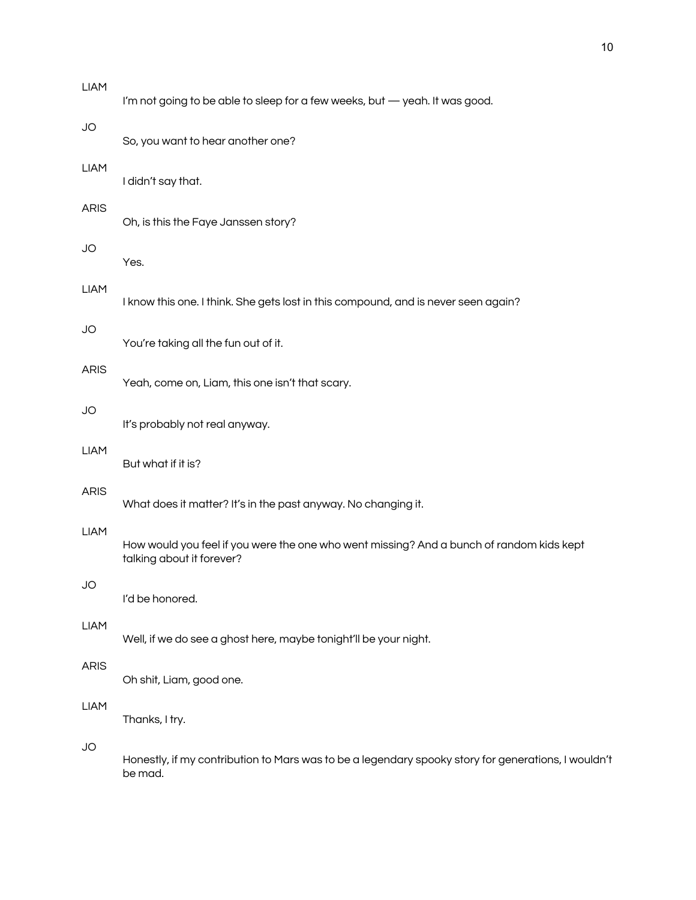| <b>LIAM</b> | I'm not going to be able to sleep for a few weeks, but - yeah. It was good.                                           |
|-------------|-----------------------------------------------------------------------------------------------------------------------|
| <b>JO</b>   | So, you want to hear another one?                                                                                     |
| <b>LIAM</b> | I didn't say that.                                                                                                    |
| <b>ARIS</b> | Oh, is this the Faye Janssen story?                                                                                   |
| <b>JO</b>   | Yes.                                                                                                                  |
| <b>LIAM</b> | I know this one. I think. She gets lost in this compound, and is never seen again?                                    |
| <b>JO</b>   | You're taking all the fun out of it.                                                                                  |
| <b>ARIS</b> | Yeah, come on, Liam, this one isn't that scary.                                                                       |
| <b>JO</b>   | It's probably not real anyway.                                                                                        |
| <b>LIAM</b> | But what if it is?                                                                                                    |
| <b>ARIS</b> | What does it matter? It's in the past anyway. No changing it.                                                         |
| <b>LIAM</b> | How would you feel if you were the one who went missing? And a bunch of random kids kept<br>talking about it forever? |
| JO          | I'd be honored.                                                                                                       |
| <b>LIAM</b> | Well, if we do see a ghost here, maybe tonight'll be your night.                                                      |
| <b>ARIS</b> | Oh shit, Liam, good one.                                                                                              |
| <b>LIAM</b> | Thanks, I try.                                                                                                        |
| <b>JO</b>   | Honestly, if my contribution to Mars was to be a legendary spooky story for generations, I wouldn't<br>be mad.        |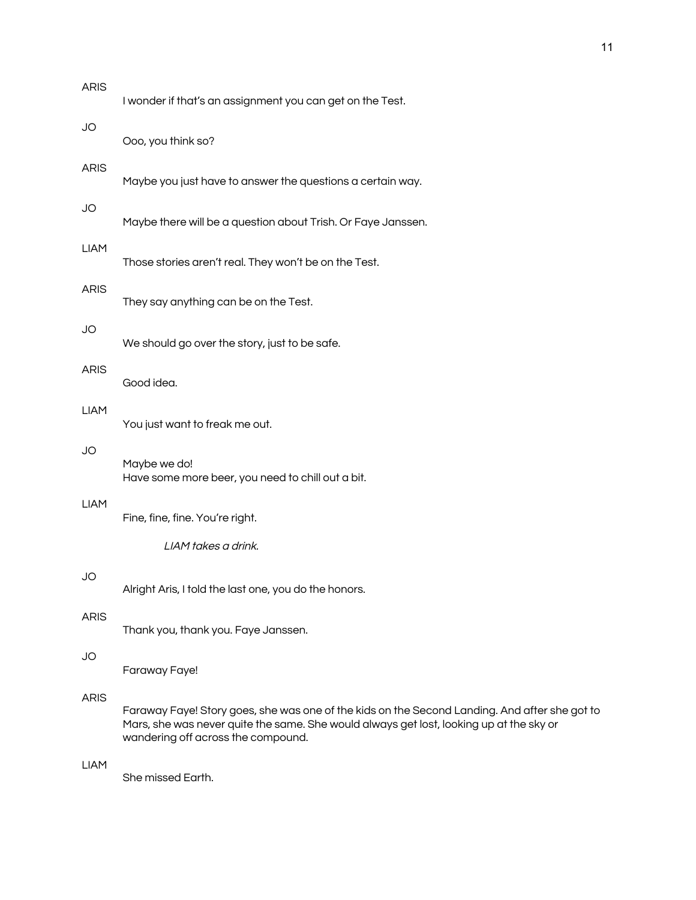| <b>ARIS</b> | I wonder if that's an assignment you can get on the Test.                                                                                                                                                                      |
|-------------|--------------------------------------------------------------------------------------------------------------------------------------------------------------------------------------------------------------------------------|
| JO          | Ooo, you think so?                                                                                                                                                                                                             |
| <b>ARIS</b> | Maybe you just have to answer the questions a certain way.                                                                                                                                                                     |
| JO          | Maybe there will be a question about Trish. Or Faye Janssen.                                                                                                                                                                   |
| <b>LIAM</b> | Those stories aren't real. They won't be on the Test.                                                                                                                                                                          |
| <b>ARIS</b> | They say anything can be on the Test.                                                                                                                                                                                          |
| JO          | We should go over the story, just to be safe.                                                                                                                                                                                  |
| <b>ARIS</b> | Good idea.                                                                                                                                                                                                                     |
| <b>LIAM</b> | You just want to freak me out.                                                                                                                                                                                                 |
| JO          | Maybe we do!<br>Have some more beer, you need to chill out a bit.                                                                                                                                                              |
| <b>LIAM</b> | Fine, fine, fine. You're right.                                                                                                                                                                                                |
|             | LIAM takes a drink.                                                                                                                                                                                                            |
| JO          | Alright Aris, I told the last one, you do the honors.                                                                                                                                                                          |
| <b>ARIS</b> | Thank you, thank you. Faye Janssen.                                                                                                                                                                                            |
| JO          | Faraway Faye!                                                                                                                                                                                                                  |
| <b>ARIS</b> | Faraway Faye! Story goes, she was one of the kids on the Second Landing. And after she got to<br>Mars, she was never quite the same. She would always get lost, looking up at the sky or<br>wandering off across the compound. |
| <b>LIAM</b> | She missed Earth.                                                                                                                                                                                                              |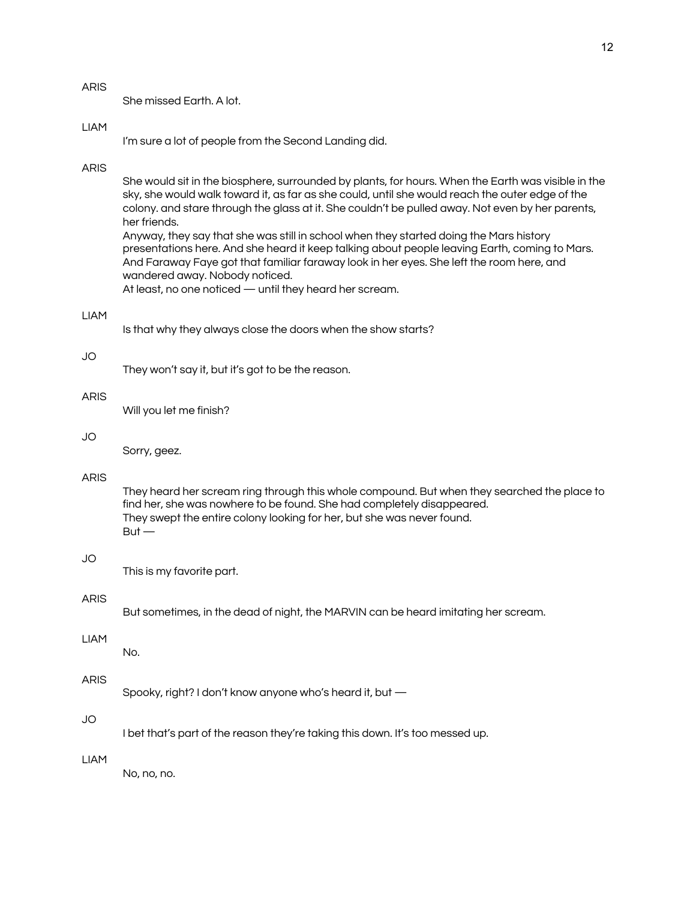She missed Earth. A lot.

## LIAM

I'm sure a lot of people from the Second Landing did.

#### ARIS

She would sit in the biosphere, surrounded by plants, for hours. When the Earth was visible in the sky, she would walk toward it, as far as she could, until she would reach the outer edge of the colony. and stare through the glass at it. She couldn't be pulled away. Not even by her parents, her friends. Anyway, they say that she was still in school when they started doing the Mars history

presentations here. And she heard it keep talking about people leaving Earth, coming to Mars. And Faraway Faye got that familiar faraway look in her eyes. She left the room here, and wandered away. Nobody noticed.

At least, no one noticed — until they heard her scream.

#### LIAM

Is that why they always close the doors when the show starts?

#### JO

They won't say it, but it's got to be the reason.

#### ARIS

Will you let me finish?

## JO

Sorry, geez.

# ARIS

They heard her scream ring through this whole compound. But when they searched the place to find her, she was nowhere to be found. She had completely disappeared. They swept the entire colony looking for her, but she was never found.  $But -$ 

#### JO

This is my favorite part.

#### ARIS

But sometimes, in the dead of night, the MARVIN can be heard imitating her scream.

# LIAM

No.

#### ARIS

Spooky, right? I don't know anyone who's heard it, but —

# JO

I bet that's part of the reason they're taking this down. It's too messed up.

## LIAM

No, no, no.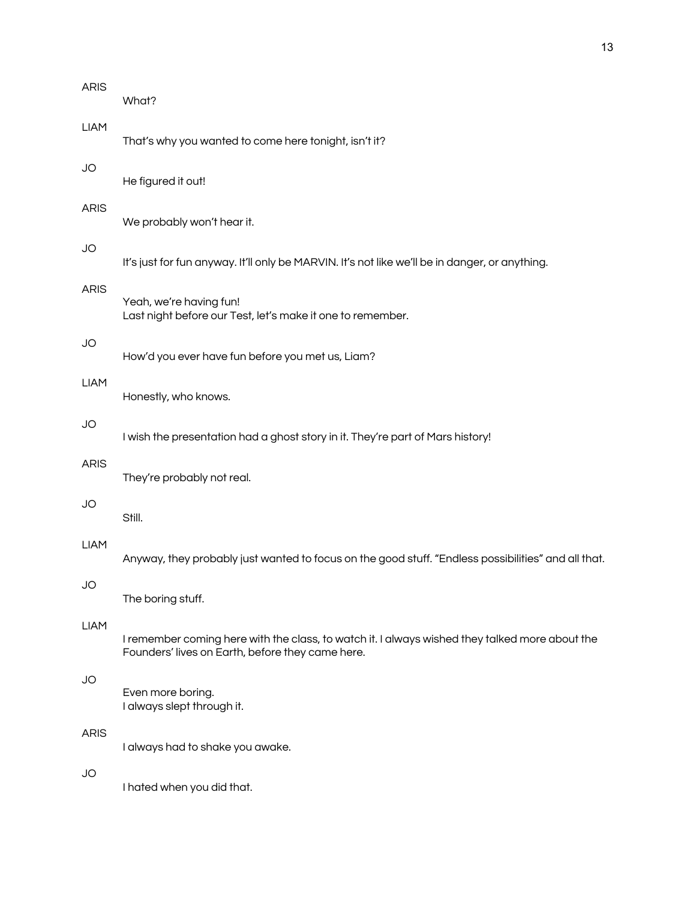| <b>ARIS</b> | What?                                                                                                                                              |
|-------------|----------------------------------------------------------------------------------------------------------------------------------------------------|
| <b>LIAM</b> | That's why you wanted to come here tonight, isn't it?                                                                                              |
| JO          | He figured it out!                                                                                                                                 |
| <b>ARIS</b> | We probably won't hear it.                                                                                                                         |
| JO          | It's just for fun anyway. It'll only be MARVIN. It's not like we'll be in danger, or anything.                                                     |
| <b>ARIS</b> | Yeah, we're having fun!<br>Last night before our Test, let's make it one to remember.                                                              |
| JO          | How'd you ever have fun before you met us, Liam?                                                                                                   |
| <b>LIAM</b> | Honestly, who knows.                                                                                                                               |
| <b>JO</b>   | I wish the presentation had a ghost story in it. They're part of Mars history!                                                                     |
| <b>ARIS</b> | They're probably not real.                                                                                                                         |
| JO          | Still.                                                                                                                                             |
| <b>LIAM</b> | Anyway, they probably just wanted to focus on the good stuff. "Endless possibilities" and all that.                                                |
| JO          | The boring stuff.                                                                                                                                  |
| <b>LIAM</b> | I remember coming here with the class, to watch it. I always wished they talked more about the<br>Founders' lives on Earth, before they came here. |
| JO          | Even more boring.<br>I always slept through it.                                                                                                    |
| <b>ARIS</b> | I always had to shake you awake.                                                                                                                   |
| JO          | I hated when you did that.                                                                                                                         |
|             |                                                                                                                                                    |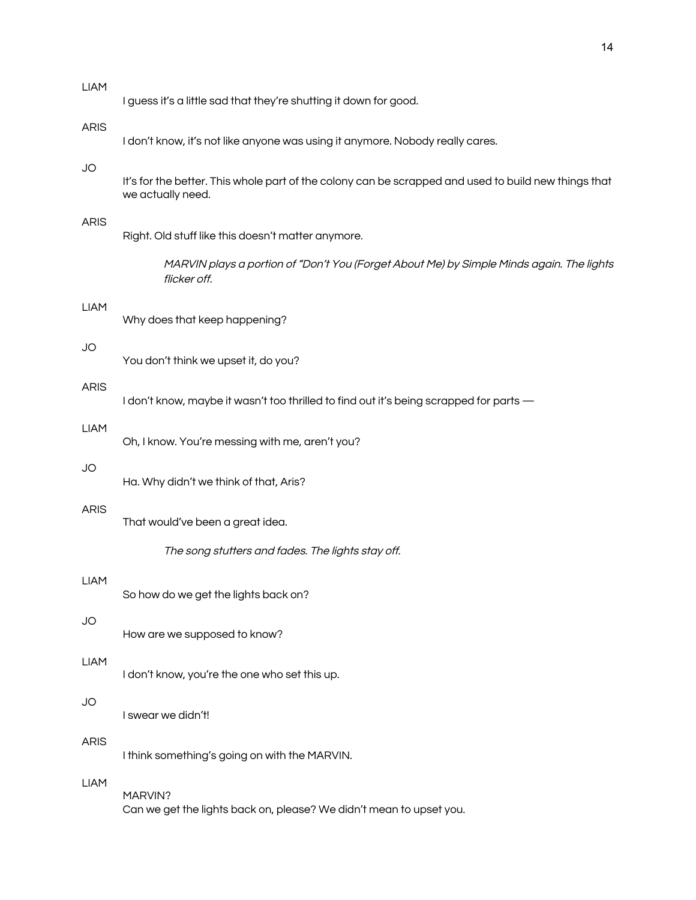| <b>LIAM</b> | I guess it's a little sad that they're shutting it down for good.                                                         |
|-------------|---------------------------------------------------------------------------------------------------------------------------|
| <b>ARIS</b> | I don't know, it's not like anyone was using it anymore. Nobody really cares.                                             |
| JO          | It's for the better. This whole part of the colony can be scrapped and used to build new things that<br>we actually need. |
| <b>ARIS</b> | Right. Old stuff like this doesn't matter anymore.                                                                        |
|             | MARVIN plays a portion of "Don't You (Forget About Me) by Simple Minds again. The lights<br>flicker off.                  |
| <b>LIAM</b> | Why does that keep happening?                                                                                             |
| JO          | You don't think we upset it, do you?                                                                                      |
| <b>ARIS</b> | I don't know, maybe it wasn't too thrilled to find out it's being scrapped for parts -                                    |
| <b>LIAM</b> | Oh, I know. You're messing with me, aren't you?                                                                           |
| JO          | Ha. Why didn't we think of that, Aris?                                                                                    |
| <b>ARIS</b> | That would've been a great idea.                                                                                          |
|             | The song stutters and fades. The lights stay off.                                                                         |
| <b>LIAM</b> | So how do we get the lights back on?                                                                                      |
| <b>JO</b>   | How are we supposed to know?                                                                                              |
| <b>LIAM</b> | I don't know, you're the one who set this up.                                                                             |
| <b>JO</b>   | I swear we didn't!                                                                                                        |
| <b>ARIS</b> | I think something's going on with the MARVIN.                                                                             |
| <b>LIAM</b> | MARVIN?<br>Can we get the lights back on, please? We didn't mean to upset you.                                            |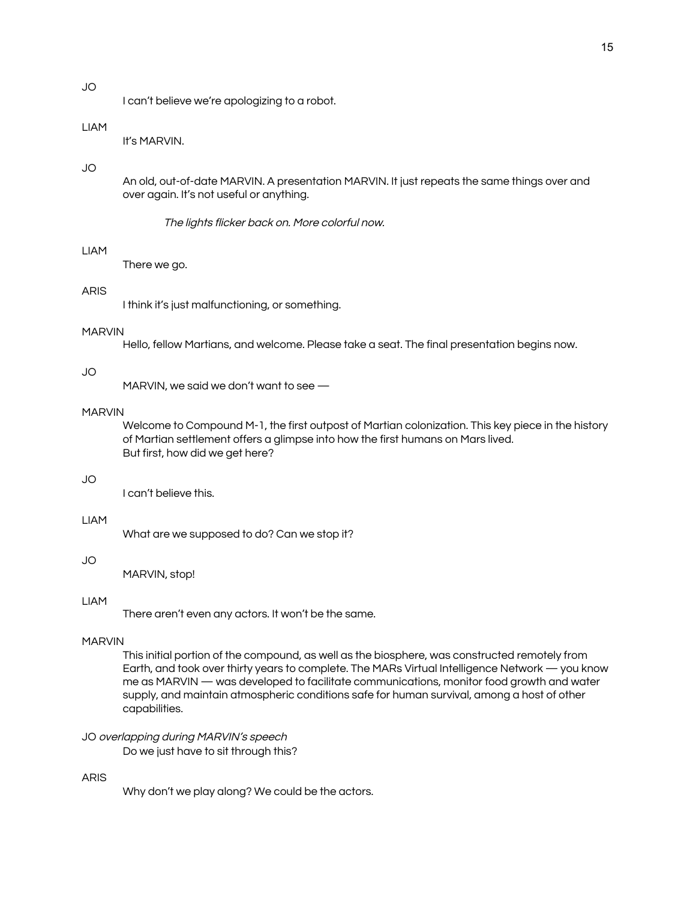# JO

I can't believe we're apologizing to a robot.

# LIAM

It's MARVIN.

# JO

An old, out-of-date MARVIN. A presentation MARVIN. It just repeats the same things over and over again. It's not useful or anything.

The lights flicker back on. More colorful now.

# LIAM

There we go.

# ARIS

I think it's just malfunctioning, or something.

# MARVIN

Hello, fellow Martians, and welcome. Please take a seat. The final presentation begins now.

# JO

MARVIN, we said we don't want to see —

## MARVIN

Welcome to Compound M-1, the first outpost of Martian colonization. This key piece in the history of Martian settlement offers a glimpse into how the first humans on Mars lived. But first, how did we get here?

#### JO

I can't believe this.

# LIAM

What are we supposed to do? Can we stop it?

# JO

MARVIN, stop!

# LIAM

There aren't even any actors. It won't be the same.

#### MARVIN

This initial portion of the compound, as well as the biosphere, was constructed remotely from Earth, and took over thirty years to complete. The MARs Virtual Intelligence Network — you know me as MARVIN — was developed to facilitate communications, monitor food growth and water supply, and maintain atmospheric conditions safe for human survival, among a host of other capabilities.

# JO overlapping during MARVIN's speech

Do we just have to sit through this?

# ARIS

Why don't we play along? We could be the actors.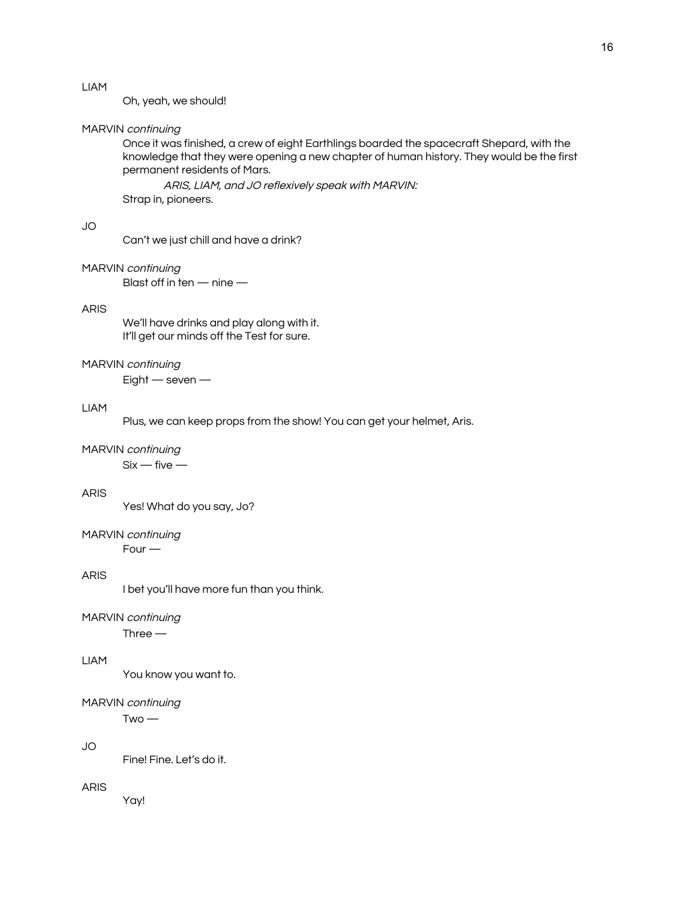# LIAM

Oh, yeah, we should!

#### MARVIN continuing

Once it was finished, a crew of eight Earthlings boarded the spacecraft Shepard, with the knowledge that they were opening a new chapter of human history. They would be the first permanent residents of Mars.

ARIS, LIAM, and JO reflexively speak with MARVIN: Strap in, pioneers.

# JO

Can't we just chill and have a drink?

# MARVIN continuing

Blast off in ten — nine —

#### ARIS

We'll have drinks and play along with it. It'll get our minds off the Test for sure.

#### MARVIN continuing

Eight — seven —

#### LIAM

Plus, we can keep props from the show! You can get your helmet, Aris.

## MARVIN continuing

 $Six - five -$ 

## ARIS

Yes! What do you say, Jo?

#### MARVIN continuing Four —

# ARIS

I bet you'll have more fun than you think.

#### MARVIN continuing

Three —

# LIAM

You know you want to.

#### MARVIN continuing

 $Two -$ 

# JO

Fine! Fine. Let's do it.

#### ARIS

Yay!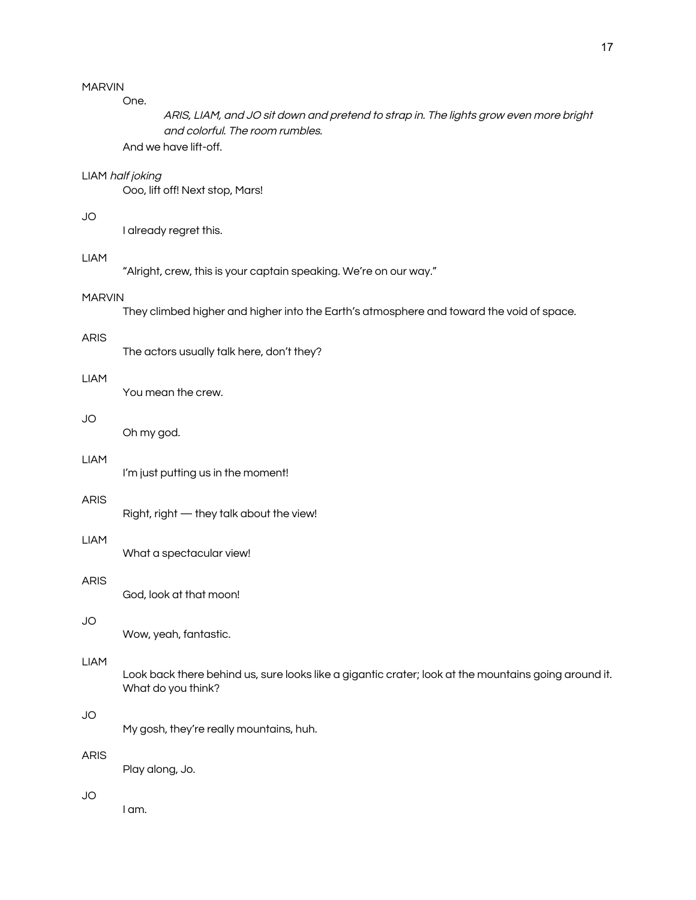# MARVIN

One.

ARIS, LIAM, and JO sit down and pretend to strap in. The lights grow even more bright and colorful. The room rumbles.

And we have lift-off.

# LIAM half joking

Ooo, lift off! Next stop, Mars!

# JO

I already regret this.

# LIAM

"Alright, crew, this is your captain speaking. We're on our way."

# MARVIN

They climbed higher and higher into the Earth's atmosphere and toward the void of space.

#### ARIS

The actors usually talk here, don't they?

## LIAM

You mean the crew.

# JO

Oh my god.

# LIAM

I'm just putting us in the moment!

# ARIS

Right, right — they talk about the view!

# LIAM

What a spectacular view!

# ARIS

God, look at that moon!

#### JO

Wow, yeah, fantastic.

## LIAM

Look back there behind us, sure looks like a gigantic crater; look at the mountains going around it. What do you think?

#### JO

My gosh, they're really mountains, huh.

# ARIS

Play along, Jo.

# JO

I am.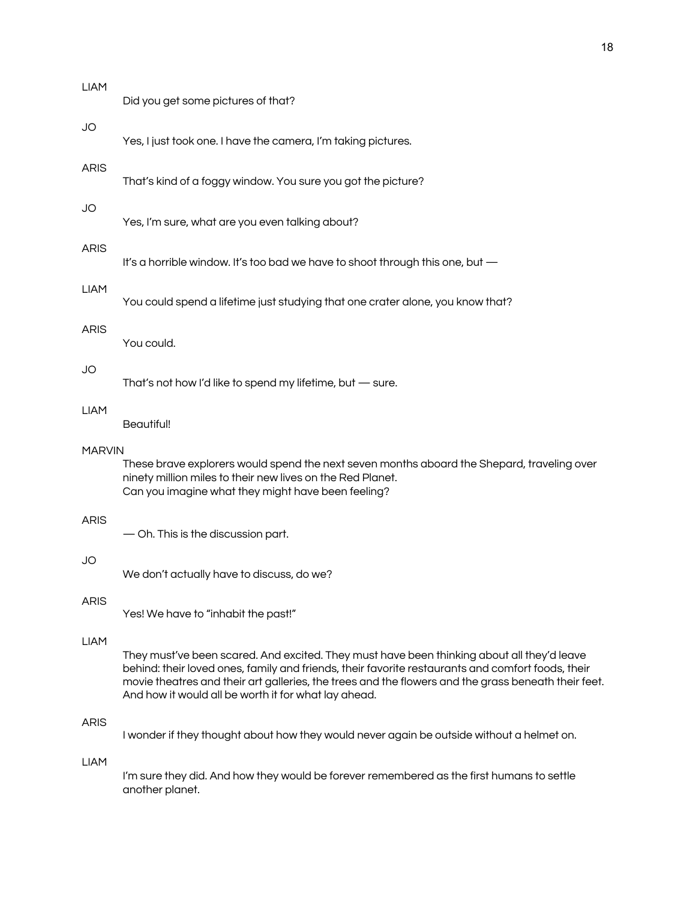| JO<br>Yes, I just took one. I have the camera, I'm taking pictures.<br>ARIS<br>That's kind of a foggy window. You sure you got the picture?<br>JO<br>Yes, I'm sure, what are you even talking about?<br>ARIS<br>It's a horrible window. It's too bad we have to shoot through this one, but -<br><b>LIAM</b><br>You could spend a lifetime just studying that one crater alone, you know that?<br>ARIS<br>You could.<br>JO<br>That's not how I'd like to spend my lifetime, but - sure.<br><b>LIAM</b><br>Beautiful!<br>MARVIN<br>These brave explorers would spend the next seven months aboard the Shepard, traveling over<br>ninety million miles to their new lives on the Red Planet.<br>Can you imagine what they might have been feeling?<br>ARIS<br>- Oh. This is the discussion part.<br>JO<br>We don't actually have to discuss, do we?<br>ARIS<br>Yes! We have to "inhabit the past!"<br><b>LIAM</b><br>They must've been scared. And excited. They must have been thinking about all they'd leave<br>behind: their loved ones, family and friends, their favorite restaurants and comfort foods, their<br>And how it would all be worth it for what lay ahead.<br>ARIS<br>I wonder if they thought about how they would never again be outside without a helmet on.<br><b>LIAM</b><br>I'm sure they did. And how they would be forever remembered as the first humans to settle<br>another planet. | LIAM | Did you get some pictures of that?                                                                  |  |  |  |  |
|----------------------------------------------------------------------------------------------------------------------------------------------------------------------------------------------------------------------------------------------------------------------------------------------------------------------------------------------------------------------------------------------------------------------------------------------------------------------------------------------------------------------------------------------------------------------------------------------------------------------------------------------------------------------------------------------------------------------------------------------------------------------------------------------------------------------------------------------------------------------------------------------------------------------------------------------------------------------------------------------------------------------------------------------------------------------------------------------------------------------------------------------------------------------------------------------------------------------------------------------------------------------------------------------------------------------------------------------------------------------------------------------------------------|------|-----------------------------------------------------------------------------------------------------|--|--|--|--|
|                                                                                                                                                                                                                                                                                                                                                                                                                                                                                                                                                                                                                                                                                                                                                                                                                                                                                                                                                                                                                                                                                                                                                                                                                                                                                                                                                                                                                |      |                                                                                                     |  |  |  |  |
|                                                                                                                                                                                                                                                                                                                                                                                                                                                                                                                                                                                                                                                                                                                                                                                                                                                                                                                                                                                                                                                                                                                                                                                                                                                                                                                                                                                                                |      |                                                                                                     |  |  |  |  |
|                                                                                                                                                                                                                                                                                                                                                                                                                                                                                                                                                                                                                                                                                                                                                                                                                                                                                                                                                                                                                                                                                                                                                                                                                                                                                                                                                                                                                |      |                                                                                                     |  |  |  |  |
|                                                                                                                                                                                                                                                                                                                                                                                                                                                                                                                                                                                                                                                                                                                                                                                                                                                                                                                                                                                                                                                                                                                                                                                                                                                                                                                                                                                                                |      |                                                                                                     |  |  |  |  |
|                                                                                                                                                                                                                                                                                                                                                                                                                                                                                                                                                                                                                                                                                                                                                                                                                                                                                                                                                                                                                                                                                                                                                                                                                                                                                                                                                                                                                |      |                                                                                                     |  |  |  |  |
|                                                                                                                                                                                                                                                                                                                                                                                                                                                                                                                                                                                                                                                                                                                                                                                                                                                                                                                                                                                                                                                                                                                                                                                                                                                                                                                                                                                                                |      |                                                                                                     |  |  |  |  |
|                                                                                                                                                                                                                                                                                                                                                                                                                                                                                                                                                                                                                                                                                                                                                                                                                                                                                                                                                                                                                                                                                                                                                                                                                                                                                                                                                                                                                |      |                                                                                                     |  |  |  |  |
|                                                                                                                                                                                                                                                                                                                                                                                                                                                                                                                                                                                                                                                                                                                                                                                                                                                                                                                                                                                                                                                                                                                                                                                                                                                                                                                                                                                                                |      |                                                                                                     |  |  |  |  |
|                                                                                                                                                                                                                                                                                                                                                                                                                                                                                                                                                                                                                                                                                                                                                                                                                                                                                                                                                                                                                                                                                                                                                                                                                                                                                                                                                                                                                |      |                                                                                                     |  |  |  |  |
|                                                                                                                                                                                                                                                                                                                                                                                                                                                                                                                                                                                                                                                                                                                                                                                                                                                                                                                                                                                                                                                                                                                                                                                                                                                                                                                                                                                                                |      |                                                                                                     |  |  |  |  |
|                                                                                                                                                                                                                                                                                                                                                                                                                                                                                                                                                                                                                                                                                                                                                                                                                                                                                                                                                                                                                                                                                                                                                                                                                                                                                                                                                                                                                |      |                                                                                                     |  |  |  |  |
|                                                                                                                                                                                                                                                                                                                                                                                                                                                                                                                                                                                                                                                                                                                                                                                                                                                                                                                                                                                                                                                                                                                                                                                                                                                                                                                                                                                                                |      |                                                                                                     |  |  |  |  |
|                                                                                                                                                                                                                                                                                                                                                                                                                                                                                                                                                                                                                                                                                                                                                                                                                                                                                                                                                                                                                                                                                                                                                                                                                                                                                                                                                                                                                |      | movie theatres and their art galleries, the trees and the flowers and the grass beneath their feet. |  |  |  |  |
|                                                                                                                                                                                                                                                                                                                                                                                                                                                                                                                                                                                                                                                                                                                                                                                                                                                                                                                                                                                                                                                                                                                                                                                                                                                                                                                                                                                                                |      |                                                                                                     |  |  |  |  |
|                                                                                                                                                                                                                                                                                                                                                                                                                                                                                                                                                                                                                                                                                                                                                                                                                                                                                                                                                                                                                                                                                                                                                                                                                                                                                                                                                                                                                |      |                                                                                                     |  |  |  |  |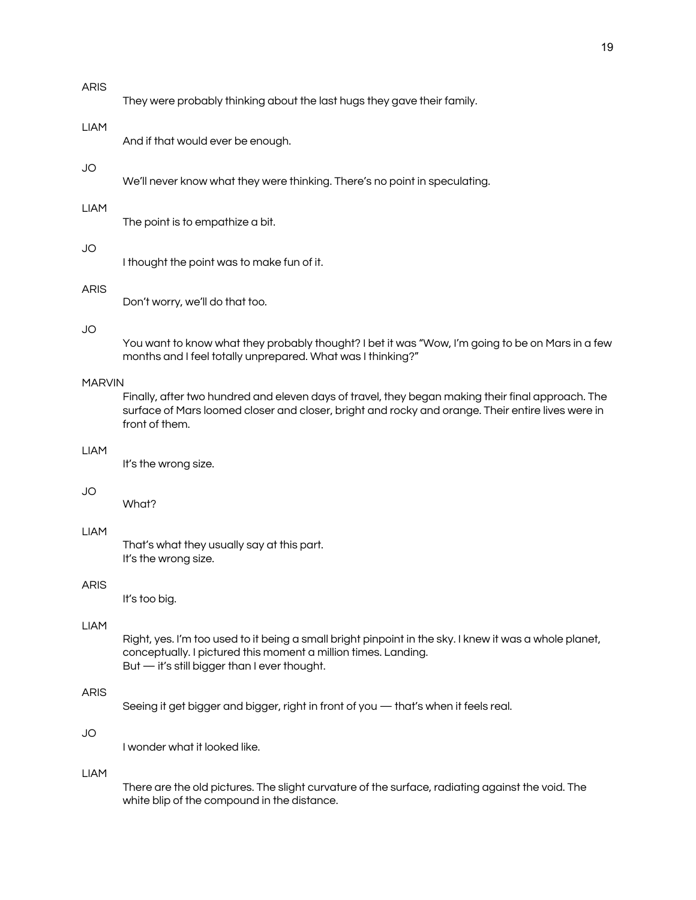## ARIS

|  |  | They were probably thinking about the last hugs they gave their family. |
|--|--|-------------------------------------------------------------------------|
|  |  |                                                                         |

#### LIAM

And if that would ever be enough.

# JO

We'll never know what they were thinking. There's no point in speculating.

#### LIAM

The point is to empathize a bit.

#### JO

I thought the point was to make fun of it.

# ARIS

Don't worry, we'll do that too.

# JO

You want to know what they probably thought? I bet it was "Wow, I'm going to be on Mars in a few months and I feel totally unprepared. What was I thinking?"

# MARVIN

Finally, after two hundred and eleven days of travel, they began making their final approach. The surface of Mars loomed closer and closer, bright and rocky and orange. Their entire lives were in front of them.

#### LIAM

It's the wrong size.

# JO

What?

# LIAM

That's what they usually say at this part. It's the wrong size.

#### ARIS

It's too big.

# LIAM

Right, yes. I'm too used to it being a small bright pinpoint in the sky. I knew it was a whole planet, conceptually. I pictured this moment a million times. Landing. But — it's still bigger than I ever thought.

# ARIS

Seeing it get bigger and bigger, right in front of you — that's when it feels real.

# JO

I wonder what it looked like.

#### LIAM

There are the old pictures. The slight curvature of the surface, radiating against the void. The white blip of the compound in the distance.